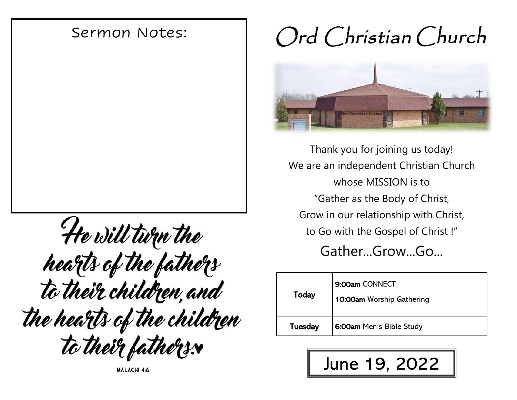# Sermon Notes:

He will turn the hearts of the fathers<br>to their children, and the hearts of the children to their fathers.

**MALACHI 4:6** 

# Ord Christian Church



Thank you for joining us today! We are an independent Christian Church whose MISSION is to "Gather as the Body of Christ, Grow in our relationship with Christ, to Go with the Gospel of Christ !"

Gather...Grow...Go...

| Today   | 9:00am CONNECT<br>10:00am Worship Gathering |
|---------|---------------------------------------------|
| Tuesday | 6:00am Men's Bible Study                    |